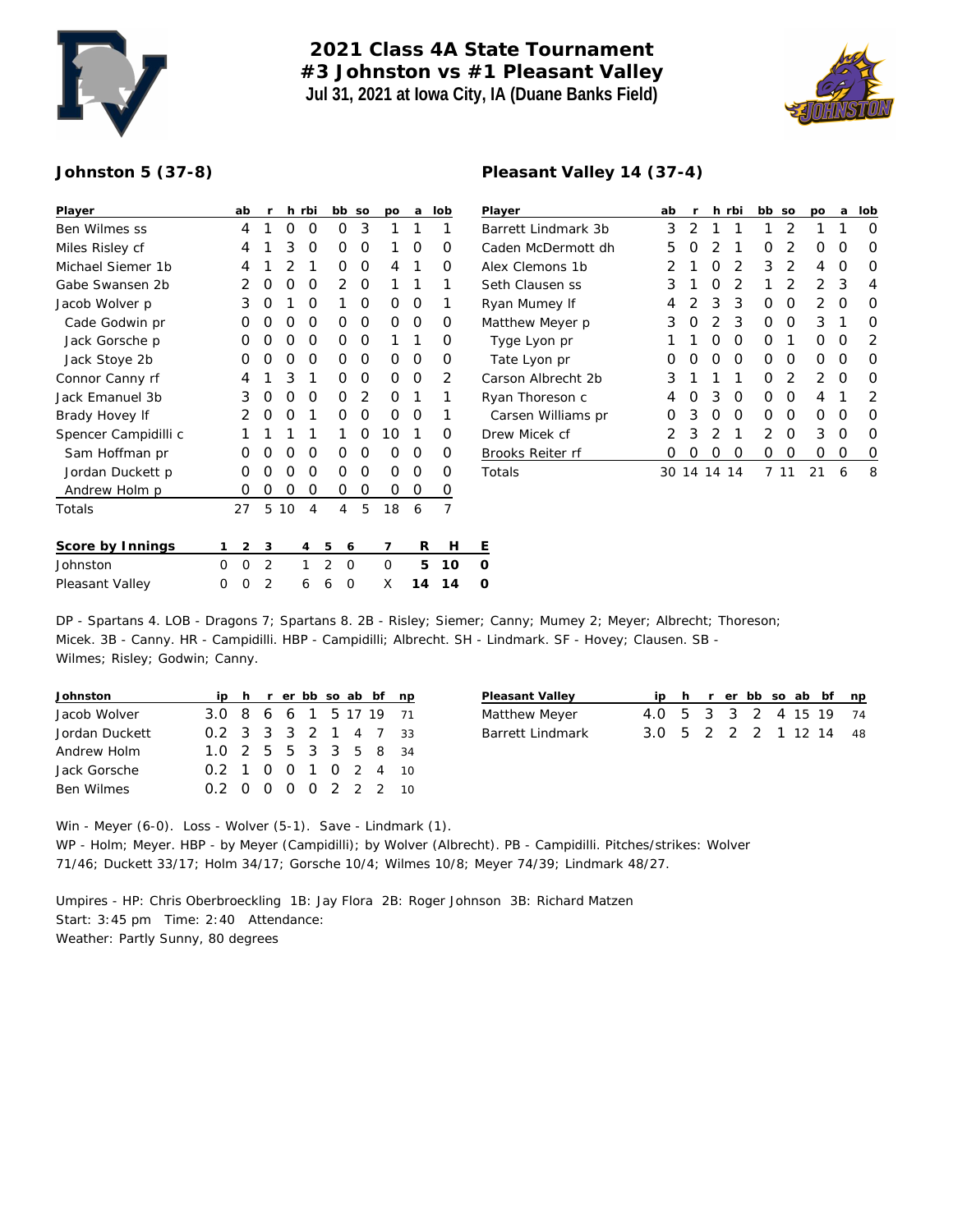

## **2021 Class 4A State Tournament #3 Johnston vs #1 Pleasant Valley Jul 31, 2021 at Iowa City, IA (Duane Banks Field)**



## **Johnston 5 (37-8)**

| Player               |          | ab            | r              |    | h rbi |                | bb             | SO | po       | a  | lob      | P              |
|----------------------|----------|---------------|----------------|----|-------|----------------|----------------|----|----------|----|----------|----------------|
| Ben Wilmes ss        |          | 4             | 1              | O  | O     |                | Ο              | 3  | 1        | 1  | 1        | B              |
| Miles Risley cf      |          | 4             | 1              | 3  | O     |                | 0              | Ο  | 1        | 0  | O        | C              |
| Michael Siemer 1b    |          | 4             | 1              | 2  | 1     |                | 0              | Ω  | 4        | 1  | $\Omega$ | А              |
| Gabe Swansen 2b      |          | 2             | O              | O  | 0     |                | $\overline{2}$ | O  | 1        | 1  | 1        | S              |
| Jacob Wolver p       |          | 3             | O              | 1  | O     |                | 1              | Ο  | O        | O  | 1        | R              |
| Cade Godwin pr       |          | O             | Ω              | O  | O     |                | 0              | Ο  | O        | Ο  | O        | N              |
| Jack Gorsche p       |          | O             | $\Omega$       | 0  | O     |                | Ω              | Ω  | 1        | 1  | O        |                |
| Jack Stoye 2b        |          | Ο             | O              | O  | O     |                | O              | Ω  | O        | Ο  | O        |                |
| Connor Canny rf      |          | 4             | 1              | 3  | 1     |                | 0              | 0  | 0        | Ο  | 2        | C              |
| Jack Emanuel 3b      |          | 3             | O              | O  | O     |                | O              | 2  | O        | 1  | 1        | R              |
| Brady Hovey If       |          | 2             | O              | O  | 1     |                | Ω              | Ω  | $\Omega$ | Ω  | 1        |                |
| Spencer Campidilli c |          | 1             | 1              | 1  | 1     |                | 1              | Ω  | 10       | 1  | Ω        | D              |
| Sam Hoffman pr       |          | Ο             | Ω              | O  | O     |                | Ο              | Ο  | O        | Ο  | O        | $\overline{B}$ |
| Jordan Duckett p     |          | O             | O              | 0  | 0     |                | 0              | Ο  | 0        | Ο  | 0        | T              |
| Andrew Holm p        |          | Ο             | Ο              | O  | 0     |                | 0              | 0  | 0        | 0  | 0        |                |
| Totals               |          | 27            | 5              | 10 | 4     |                | 4              | 5  | 18       | 6  | 7        |                |
| Score by Innings     | 1        | $\mathcal{D}$ | 3              |    | 4     | 5              | 6              |    | 7        | R  | Н        | Ε              |
| Johnston             | $\Omega$ | O             | $\overline{2}$ |    | 1     | $\overline{2}$ | O              |    | O        | 5  | 10       | 0              |
| Pleasant Valley      | Ω        | O             | 2              |    | 6     | 6              | Ω              |    | X        | 14 | 14       | 0              |

| Player              | ab  | r  | h              | rbi            | bb | SO | po            | a | lob              |
|---------------------|-----|----|----------------|----------------|----|----|---------------|---|------------------|
| Barrett Lindmark 3b | 3   | 2  | 1              | 1              | 1  | 2  | 1             | 1 | Ω                |
| Caden McDermott dh  | 5   | Ω  | 2              | 1              | Ο  | 2  | Ω             | Ω | Ω                |
| Alex Clemons 1b     | 2   | 1  | O              | 2              | 3  | 2  | 4             | Ω | $\left( \right)$ |
| Seth Clausen ss     | 3   | 1  | O              | $\overline{2}$ | 1  | 2  | $\mathcal{P}$ | 3 | 4                |
| Ryan Mumey If       | 4   | 2  | 3              | 3              | Ο  | O  | 2             | Ω | Ω                |
| Matthew Meyer p     | 3   | Ο  | 2              | 3              | Ω  | O  | 3             | 1 | O                |
| Tyge Lyon pr        | 1   | 1  | O              | O              | Ω  | 1  | Ω             | Ω | 2                |
| Tate Lyon pr        | Ω   | Ω  | O              | O              | Ω  | O  | Ω             | Ω | O                |
| Carson Albrecht 2b  | 3   | 1  | 1              | 1              | Ω  | 2  | 2             | Ω | O                |
| Ryan Thoreson c     | 4   | Ω  | 3              | O              | Ω  | O  | 4             | 1 | 2                |
| Carsen Williams pr  | Ω   | 3  | O              | O              | Ω  | O  | Ω             | Ω | $\left( \right)$ |
| Drew Micek cf       | 2   | 3  | $\overline{2}$ | 1              | 2  | O  | 3             | Ω | O                |
| Brooks Reiter rf    | Ω   | Ω  | Ω              | Ω              | Ω  | Ω  | Ω             | Ω | $\left( \right)$ |
| Totals              | 30. | 14 | 14             | 14             | 7  | 11 | 21            | 6 | 8                |

DP - Spartans 4. LOB - Dragons 7; Spartans 8. 2B - Risley; Siemer; Canny; Mumey 2; Meyer; Albrecht; Thoreson; Micek. 3B - Canny. HR - Campidilli. HBP - Campidilli; Albrecht. SH - Lindmark. SF - Hovey; Clausen. SB - Wilmes; Risley; Godwin; Canny.

| Johnston          |                        |  |  |  | ip h r er bb so ab bf np |  |
|-------------------|------------------------|--|--|--|--------------------------|--|
| Jacob Wolver      | 3.0 8 6 6 1 5 17 19 71 |  |  |  |                          |  |
| Jordan Duckett    | 0.2 3 3 3 2 1 4 7 33   |  |  |  |                          |  |
| Andrew Holm       | 1.0 2 5 5 3 3 5 8 34   |  |  |  |                          |  |
| Jack Gorsche      | 0.2 1 0 0 1 0 2 4 10   |  |  |  |                          |  |
| <b>Ben Wilmes</b> | 0.2 0 0 0 0 2 2 2 10   |  |  |  |                          |  |

| Pleasant Valley  |                         |  |  |  | ip h r er bb so ab bf np |
|------------------|-------------------------|--|--|--|--------------------------|
| Matthew Meyer    | 4.0 5 3 3 2 4 15 19 74  |  |  |  |                          |
| Barrett Lindmark | 3.0 5 2 2 2 1 1 2 14 48 |  |  |  |                          |

Win - Meyer (6-0). Loss - Wolver (5-1). Save - Lindmark (1). WP - Holm; Meyer. HBP - by Meyer (Campidilli); by Wolver (Albrecht). PB - Campidilli. Pitches/strikes: Wolver 71/46; Duckett 33/17; Holm 34/17; Gorsche 10/4; Wilmes 10/8; Meyer 74/39; Lindmark 48/27.

Umpires - HP: Chris Oberbroeckling 1B: Jay Flora 2B: Roger Johnson 3B: Richard Matzen Start: 3:45 pm Time: 2:40 Attendance: Weather: Partly Sunny, 80 degrees

## **Pleasant Valley 14 (37-4)**